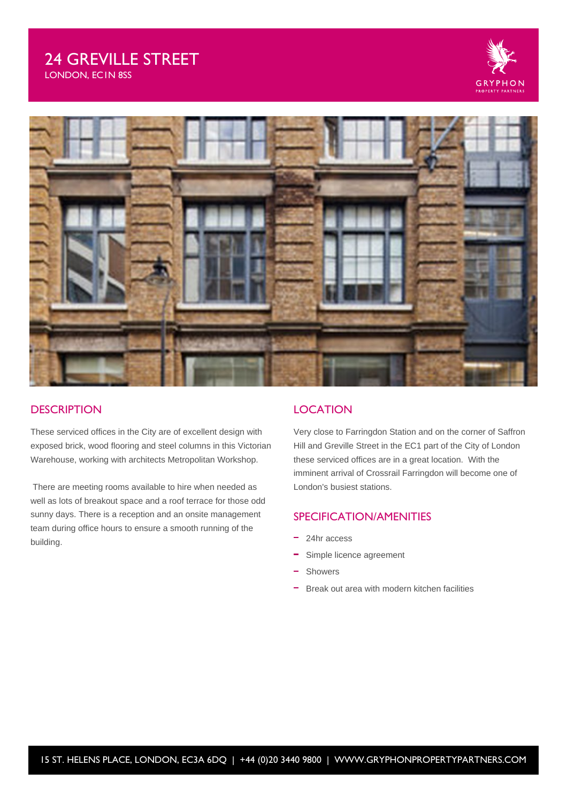# 24 GREVILLE STREET

LONDON, EC1N 8SS





### **DESCRIPTION**

These serviced offices in the City are of excellent design with exposed brick, wood flooring and steel columns in this Victorian Warehouse, working with architects Metropolitan Workshop.

 There are meeting rooms available to hire when needed as well as lots of breakout space and a roof terrace for those odd sunny days. There is a reception and an onsite management team during office hours to ensure a smooth running of the building.

### **LOCATION**

Very close to Farringdon Station and on the corner of Saffron Hill and Greville Street in the EC1 part of the City of London these serviced offices are in a great location. With the imminent arrival of Crossrail Farringdon will become one of London's busiest stations.

### SPECIFICATION/AMENITIES

- 24hr access
- Simple licence agreement
- Showers
- Break out area with modern kitchen facilities